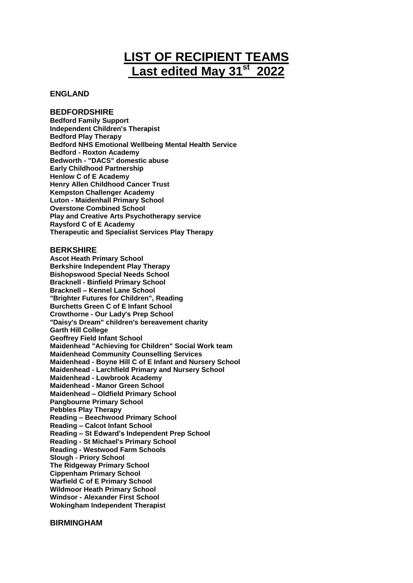# **LIST OF RECIPIENT TEAMS Last edited May 31st 2022**

# **ENGLAND**

# **BEDFORDSHIRE**

**Bedford Family Support Independent Children's Therapist Bedford Play Therapy Bedford NHS Emotional Wellbeing Mental Health Service Bedford - Roxton Academy Bedworth - "DACS" domestic abuse Early Childhood Partnership Henlow C of E Academy Henry Allen Childhood Cancer Trust Kempston Challenger Academy Luton - Maidenhall Primary School Overstone Combined School Play and Creative Arts Psychotherapy service Raysford C of E Academy Therapeutic and Specialist Services Play Therapy**

#### **BERKSHIRE**

**Ascot Heath Primary School Berkshire Independent Play Therapy Bishopswood Special Needs School Bracknell - Binfield Primary School Bracknell – Kennel Lane School "Brighter Futures for Children", Reading Burchetts Green C of E Infant School Crowthorne - Our Lady's Prep School "Daisy's Dream" children's bereavement charity Garth Hill College Geoffrey Field Infant School Maidenhead "Achieving for Children" Social Work team Maidenhead Community Counselling Services Maidenhead - Boyne Hill C of E Infant and Nursery School Maidenhead - Larchfield Primary and Nursery School Maidenhead - Lowbrook Academy Maidenhead - Manor Green School Maidenhead – Oldfield Primary School Pangbourne Primary School Pebbles Play Therapy Reading – Beechwood Primary School Reading – Calcot Infant School Reading – St Edward's Independent Prep School Reading - St Michael's Primary School Reading - Westwood Farm Schools Slough - Priory School The Ridgeway Primary School Cippenham Primary School Warfield C of E Primary School Wildmoor Heath Primary School Windsor - Alexander First School Wokingham Independent Therapist**

# **BIRMINGHAM**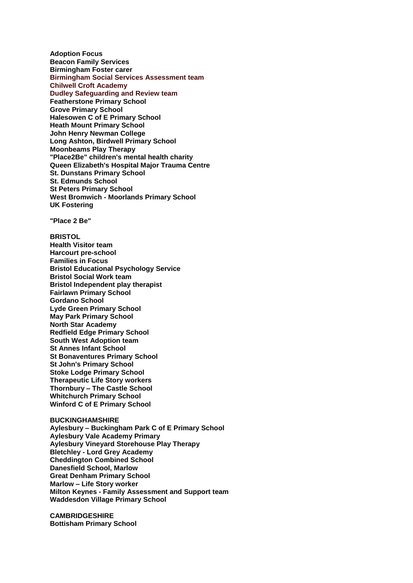**Adoption Focus Beacon Family Services Birmingham Foster carer Birmingham Social Services Assessment team Chilwell Croft Academy Dudley Safeguarding and Review team Featherstone Primary School Grove Primary School Halesowen C of E Primary School Heath Mount Primary School John Henry Newman College Long Ashton, Birdwell Primary School Moonbeams Play Therapy "Place2Be" children's mental health charity Queen Elizabeth's Hospital Major Trauma Centre St. Dunstans Primary School St. Edmunds School St Peters Primary School West Bromwich - Moorlands Primary School UK Fostering**

**"Place 2 Be"**

## **BRISTOL Health Visitor team Harcourt pre-school Families in Focus Bristol Educational Psychology Service Bristol Social Work team Bristol Independent play therapist Fairlawn Primary School Gordano School Lyde Green Primary School May Park Primary School North Star Academy Redfield Edge Primary School South West Adoption team St Annes Infant School St Bonaventures Primary School St John's Primary School Stoke Lodge Primary School Therapeutic Life Story workers Thornbury – The Castle School Whitchurch Primary School Winford C of E Primary School**

**BUCKINGHAMSHIRE Aylesbury – Buckingham Park C of E Primary School Aylesbury Vale Academy Primary Aylesbury Vineyard Storehouse Play Therapy Bletchley - Lord Grey Academy Cheddington Combined School Danesfield School, Marlow Great Denham Primary School Marlow – Life Story worker Milton Keynes - Family Assessment and Support team Waddesdon Village Primary School**

**CAMBRIDGESHIRE Bottisham Primary School**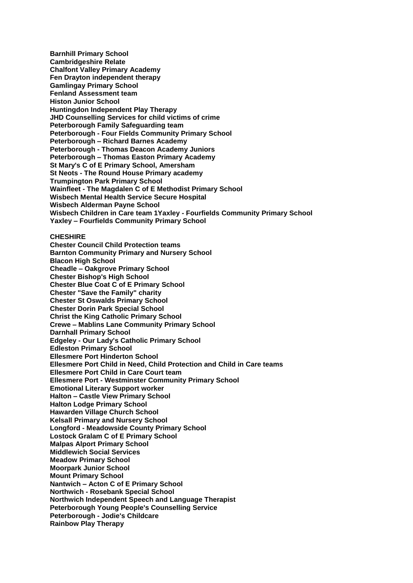**Barnhill Primary School Cambridgeshire Relate Chalfont Valley Primary Academy Fen Drayton independent therapy Gamlingay Primary School Fenland Assessment team Histon Junior School Huntingdon Independent Play Therapy JHD Counselling Services for child victims of crime Peterborough Family Safeguarding team Peterborough - Four Fields Community Primary School Peterborough – Richard Barnes Academy Peterborough - Thomas Deacon Academy Juniors Peterborough – Thomas Easton Primary Academy St Mary's C of E Primary School, Amersham St Neots - The Round House Primary academy Trumpington Park Primary School Wainfleet - The Magdalen C of E Methodist Primary School Wisbech Mental Health Service Secure Hospital Wisbech Alderman Payne School Wisbech Children in Care team 1Yaxley - Fourfields Community Primary School Yaxley – Fourfields Community Primary School CHESHIRE Chester Council Child Protection teams**

**Barnton Community Primary and Nursery School Blacon High School Cheadle – Oakgrove Primary School Chester Bishop's High School Chester Blue Coat C of E Primary School Chester "Save the Family" charity Chester St Oswalds Primary School Chester Dorin Park Special School Christ the King Catholic Primary School Crewe – Mablins Lane Community Primary School Darnhall Primary School Edgeley - Our Lady's Catholic Primary School Edleston Primary School Ellesmere Port Hinderton School Ellesmere Port Child in Need, Child Protection and Child in Care teams Ellesmere Port Child in Care Court team Ellesmere Port - Westminster Community Primary School Emotional Literary Support worker Halton – Castle View Primary School Halton Lodge Primary School Hawarden Village Church School Kelsall Primary and Nursery School Longford - Meadowside County Primary School Lostock Gralam C of E Primary School Malpas Alport Primary School Middlewich Social Services Meadow Primary School Moorpark Junior School Mount Primary School Nantwich – Acton C of E Primary School Northwich - Rosebank Special School Northwich Independent Speech and Language Therapist Peterborough Young People's Counselling Service Peterborough - Jodie's Childcare Rainbow Play Therapy**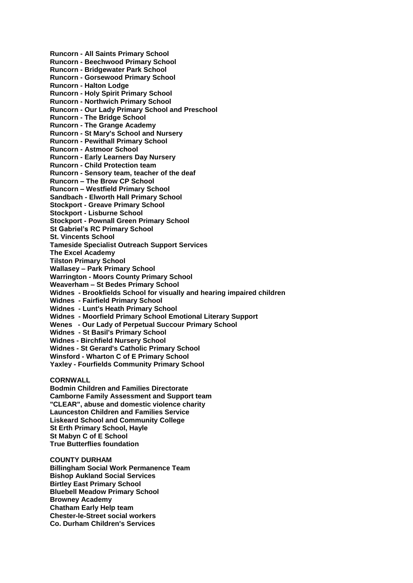**Runcorn - All Saints Primary School Runcorn - Beechwood Primary School Runcorn - Bridgewater Park School Runcorn - Gorsewood Primary School Runcorn - Halton Lodge Runcorn - Holy Spirit Primary School Runcorn - Northwich Primary School Runcorn - Our Lady Primary School and Preschool Runcorn - The Bridge School Runcorn - The Grange Academy Runcorn - St Mary's School and Nursery Runcorn - Pewithall Primary School Runcorn - Astmoor School Runcorn - Early Learners Day Nursery Runcorn - Child Protection team Runcorn - Sensory team, teacher of the deaf Runcorn – The Brow CP School Runcorn – Westfield Primary School Sandbach - Elworth Hall Primary School Stockport - Greave Primary School Stockport - Lisburne School Stockport - Pownall Green Primary School St Gabriel's RC Primary School St. Vincents School Tameside Specialist Outreach Support Services The Excel Academy Tilston Primary School Wallasey – Park Primary School Warrington - Moors County Primary School Weaverham – St Bedes Primary School Widnes - Brookfields School for visually and hearing impaired children Widnes - Fairfield Primary School Widnes - Lunt's Heath Primary School Widnes - Moorfield Primary School Emotional Literary Support Wenes - Our Lady of Perpetual Succour Primary School Widnes - St Basil's Primary School Widnes - Birchfield Nursery School Widnes - St Gerard's Catholic Primary School Winsford - Wharton C of E Primary School Yaxley - Fourfields Community Primary School CORNWALL**

**Bodmin Children and Families Directorate Camborne Family Assessment and Support team "CLEAR", abuse and domestic violence charity Launceston Children and Families Service Liskeard School and Community College St Erth Primary School, Hayle St Mabyn C of E School True Butterflies foundation**

**COUNTY DURHAM Billingham Social Work Permanence Team Bishop Aukland Social Services Birtley East Primary School Bluebell Meadow Primary School Browney Academy Chatham Early Help team Chester-le-Street social workers Co. Durham Children's Services**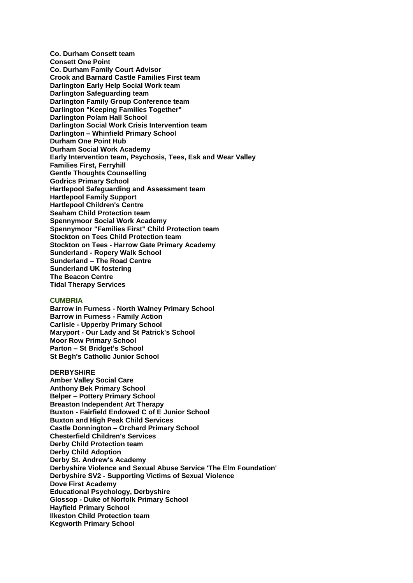**Co. Durham Consett team Consett One Point Co. Durham Family Court Advisor Crook and Barnard Castle Families First team Darlington Early Help Social Work team Darlington Safeguarding team Darlington Family Group Conference team Darlington "Keeping Families Together" Darlington Polam Hall School Darlington Social Work Crisis Intervention team Darlington – Whinfield Primary School Durham One Point Hub Durham Social Work Academy Early Intervention team, Psychosis, Tees, Esk and Wear Valley Families First, Ferryhill Gentle Thoughts Counselling Godrics Primary School Hartlepool Safeguarding and Assessment team Hartlepool Family Support Hartlepool Children's Centre Seaham Child Protection team Spennymoor Social Work Academy Spennymoor "Families First" Child Protection team Stockton on Tees Child Protection team Stockton on Tees - Harrow Gate Primary Academy Sunderland - Ropery Walk School Sunderland – The Road Centre Sunderland UK fostering The Beacon Centre Tidal Therapy Services**

#### **CUMBRIA**

**Barrow in Furness - North Walney Primary School Barrow in Furness - Family Action Carlisle - Upperby Primary School Maryport - Our Lady and St Patrick's School Moor Row Primary School Parton – St Bridget's School St Begh's Catholic Junior School**

**DERBYSHIRE Amber Valley Social Care Anthony Bek Primary School Belper – Pottery Primary School Breaston Independent Art Therapy Buxton - Fairfield Endowed C of E Junior School Buxton and High Peak Child Services Castle Donnington – Orchard Primary School Chesterfield Children's Services Derby Child Protection team Derby Child Adoption Derby St. Andrew's Academy Derbyshire Violence and Sexual Abuse Service 'The Elm Foundation' Derbyshire SV2 - Supporting Victims of Sexual Violence Dove First Academy Educational Psychology, Derbyshire Glossop - Duke of Norfolk Primary School Hayfield Primary School Ilkeston Child Protection team Kegworth Primary School**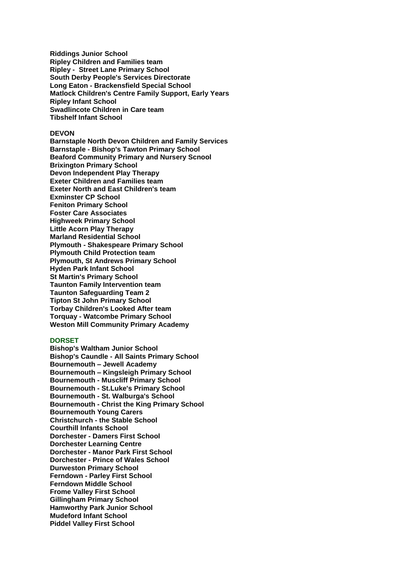**Riddings Junior School Ripley Children and Families team Ripley - Street Lane Primary School South Derby People's Services Directorate Long Eaton - Brackensfield Special School Matlock Children's Centre Family Support, Early Years Ripley Infant School Swadlincote Children in Care team Tibshelf Infant School**

## **DEVON**

**Barnstaple North Devon Children and Family Services Barnstaple - Bishop's Tawton Primary School Beaford Community Primary and Nursery Scnool Brixington Primary School Devon Independent Play Therapy Exeter Children and Families team Exeter North and East Children's team Exminster CP School Feniton Primary School Foster Care Associates Highweek Primary School Little Acorn Play Therapy Marland Residential School Plymouth - Shakespeare Primary School Plymouth Child Protection team Plymouth, St Andrews Primary School Hyden Park Infant School St Martin's Primary School Taunton Family Intervention team Taunton Safeguarding Team 2 Tipton St John Primary School Torbay Children's Looked After team Torquay - Watcombe Primary School Weston Mill Community Primary Academy**

#### **DORSET**

**Bishop's Waltham Junior School Bishop's Caundle - All Saints Primary School Bournemouth – Jewell Academy Bournemouth – Kingsleigh Primary School Bournemouth - Muscliff Primary School Bournemouth - St.Luke's Primary School Bournemouth - St. Walburga's School Bournemouth - Christ the King Primary School Bournemouth Young Carers Christchurch - the Stable School Courthill Infants School Dorchester - Damers First School Dorchester Learning Centre Dorchester - Manor Park First School Dorchester - Prince of Wales School Durweston Primary School Ferndown - Parley First School Ferndown Middle School Frome Valley First School Gillingham Primary School Hamworthy Park Junior School Mudeford Infant School Piddel Valley First School**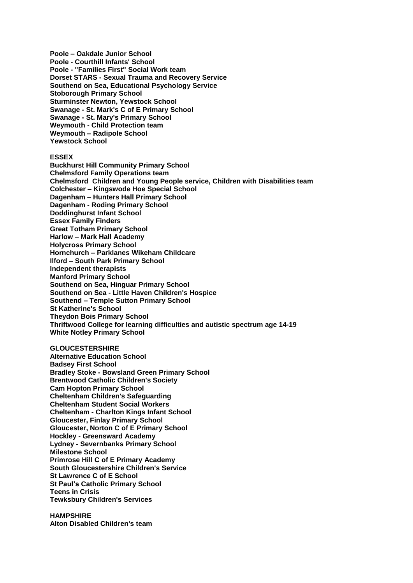**Poole – Oakdale Junior School Poole - Courthill Infants' School Poole - "Families First" Social Work team Dorset STARS - Sexual Trauma and Recovery Service Southend on Sea, Educational Psychology Service Stoborough Primary School Sturminster Newton, Yewstock School Swanage - St. Mark's C of E Primary School Swanage - St. Mary's Primary School Weymouth - Child Protection team Weymouth – Radipole School Yewstock School**

#### **ESSEX**

**Buckhurst Hill Community Primary School Chelmsford Family Operations team Chelmsford Children and Young People service, Children with Disabilities team Colchester – Kingswode Hoe Special School Dagenham – Hunters Hall Primary School Dagenham - Roding Primary School Doddinghurst Infant School Essex Family Finders Great Totham Primary School Harlow – Mark Hall Academy Holycross Primary School Hornchurch – Parklanes Wikeham Childcare Ilford – South Park Primary School Independent therapists Manford Primary School Southend on Sea, Hinguar Primary School Southend on Sea - Little Haven Children's Hospice Southend – Temple Sutton Primary School St Katherine's School Theydon Bois Primary School Thriftwood College for learning difficulties and autistic spectrum age 14-19 White Notley Primary School**

# **GLOUCESTERSHIRE**

**Alternative Education School Badsey First School Bradley Stoke - Bowsland Green Primary School Brentwood Catholic Children's Society Cam Hopton Primary School Cheltenham Children's Safeguarding Cheltenham Student Social Workers Cheltenham - Charlton Kings Infant School Gloucester, Finlay Primary School Gloucester, Norton C of E Primary School Hockley - Greensward Academy Lydney - Severnbanks Primary School Milestone School Primrose Hill C of E Primary Academy South Gloucestershire Children's Service St Lawrence C of E School St Paul's Catholic Primary School Teens in Crisis Tewksbury Children's Services**

**HAMPSHIRE Alton Disabled Children's team**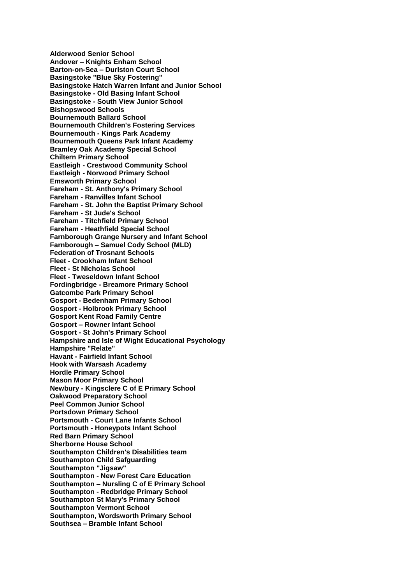**Alderwood Senior School Andover – Knights Enham School Barton-on-Sea – Durlston Court School Basingstoke "Blue Sky Fostering" Basingstoke Hatch Warren Infant and Junior School Basingstoke - Old Basing Infant School Basingstoke - South View Junior School Bishopswood Schools Bournemouth Ballard School Bournemouth Children's Fostering Services Bournemouth - Kings Park Academy Bournemouth Queens Park Infant Academy Bramley Oak Academy Special School Chiltern Primary School Eastleigh - Crestwood Community School Eastleigh - Norwood Primary School Emsworth Primary School Fareham - St. Anthony's Primary School Fareham - Ranvilles Infant School Fareham - St. John the Baptist Primary School Fareham - St Jude's School Fareham - Titchfield Primary School Fareham - Heathfield Special School Farnborough Grange Nursery and Infant School Farnborough – Samuel Cody School (MLD) Federation of Trosnant Schools Fleet - Crookham Infant School Fleet - St Nicholas School Fleet - Tweseldown Infant School Fordingbridge - Breamore Primary School Gatcombe Park Primary School Gosport - Bedenham Primary School Gosport - Holbrook Primary School Gosport Kent Road Family Centre Gosport – Rowner Infant School Gosport - St John's Primary School Hampshire and Isle of Wight Educational Psychology Hampshire "Relate" Havant - Fairfield Infant School Hook with Warsash Academy Hordle Primary School Mason Moor Primary School Newbury - Kingsclere C of E Primary School Oakwood Preparatory School Peel Common Junior School Portsdown Primary School Portsmouth - Court Lane Infants School Portsmouth - Honeypots Infant School Red Barn Primary School Sherborne House School Southampton Children's Disabilities team Southampton Child Safguarding Southampton "Jigsaw" Southampton - New Forest Care Education Southampton – Nursling C of E Primary School Southampton - Redbridge Primary School Southampton St Mary's Primary School Southampton Vermont School Southampton, Wordsworth Primary School Southsea – Bramble Infant School**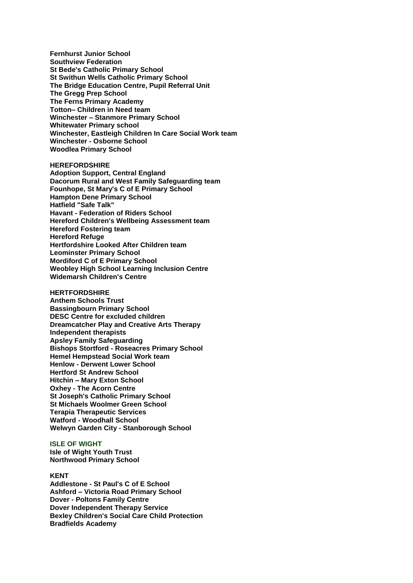**Fernhurst Junior School Southview Federation St Bede's Catholic Primary School St Swithun Wells Catholic Primary School The Bridge Education Centre, Pupil Referral Unit The Gregg Prep School The Ferns Primary Academy Totton– Children in Need team Winchester – Stanmore Primary School Whitewater Primary school Winchester, Eastleigh Children In Care Social Work team Winchester - Osborne School Woodlea Primary School**

**HEREFORDSHIRE Adoption Support, Central England Dacorum Rural and West Family Safeguarding team Founhope, St Mary's C of E Primary School Hampton Dene Primary School Hatfield "Safe Talk" Havant - Federation of Riders School Hereford Children's Wellbeing Assessment team Hereford Fostering team Hereford Refuge Hertfordshire Looked After Children team Leominster Primary School Mordiford C of E Primary School Weobley High School Learning Inclusion Centre Widemarsh Children's Centre**

**HERTFORDSHIRE Anthem Schools Trust Bassingbourn Primary School DESC Centre for excluded children Dreamcatcher Play and Creative Arts Therapy Independent therapists Apsley Family Safeguarding Bishops Stortford - Roseacres Primary School Hemel Hempstead Social Work team Henlow - Derwent Lower School Hertford St Andrew School Hitchin – Mary Exton School Oxhey - The Acorn Centre St Joseph's Catholic Primary School St Michaels Woolmer Green School Terapia Therapeutic Services Watford - Woodhall School Welwyn Garden City - Stanborough School**

**ISLE OF WIGHT Isle of Wight Youth Trust Northwood Primary School**

## **KENT**

**Addlestone - St Paul's C of E School Ashford – Victoria Road Primary School Dover - Poltons Family Centre Dover Independent Therapy Service Bexley Children's Social Care Child Protection Bradfields Academy**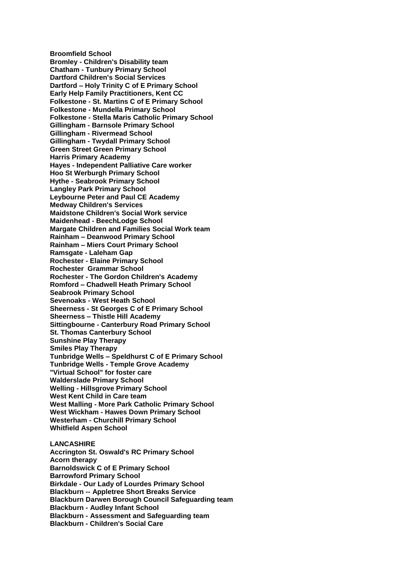**Broomfield School Bromley - Children's Disability team Chatham - Tunbury Primary School Dartford Children's Social Services Dartford – Holy Trinity C of E Primary School Early Help Family Practitioners, Kent CC Folkestone - St. Martins C of E Primary School Folkestone - Mundella Primary School Folkestone - Stella Maris Catholic Primary School Gillingham - Barnsole Primary School Gillingham - Rivermead School Gillingham - Twydall Primary School Green Street Green Primary School Harris Primary Academy Hayes - Independent Palliative Care worker Hoo St Werburgh Primary School Hythe - Seabrook Primary School Langley Park Primary School Leybourne Peter and Paul CE Academy Medway Children's Services Maidstone Children's Social Work service Maidenhead - BeechLodge School Margate Children and Families Social Work team Rainham – Deanwood Primary School Rainham – Miers Court Primary School Ramsgate - Laleham Gap Rochester - Elaine Primary School Rochester Grammar School Rochester - The Gordon Children's Academy Romford – Chadwell Heath Primary School Seabrook Primary School Sevenoaks - West Heath School Sheerness - St Georges C of E Primary School Sheerness – Thistle Hill Academy Sittingbourne - Canterbury Road Primary School St. Thomas Canterbury School Sunshine Play Therapy Smiles Play Therapy Tunbridge Wells – Speldhurst C of E Primary School Tunbridge Wells - Temple Grove Academy "Virtual School" for foster care Walderslade Primary School Welling - Hillsgrove Primary School West Kent Child in Care team West Malling - More Park Catholic Primary School West Wickham - Hawes Down Primary School Westerham - Churchill Primary School Whitfield Aspen School LANCASHIRE**

**Accrington St. Oswald's RC Primary School Acorn therapy Barnoldswick C of E Primary School Barrowford Primary School Birkdale - Our Lady of Lourdes Primary School Blackburn -- Appletree Short Breaks Service Blackburn Darwen Borough Council Safeguarding team Blackburn - Audley Infant School Blackburn - Assessment and Safeguarding team Blackburn - Children's Social Care**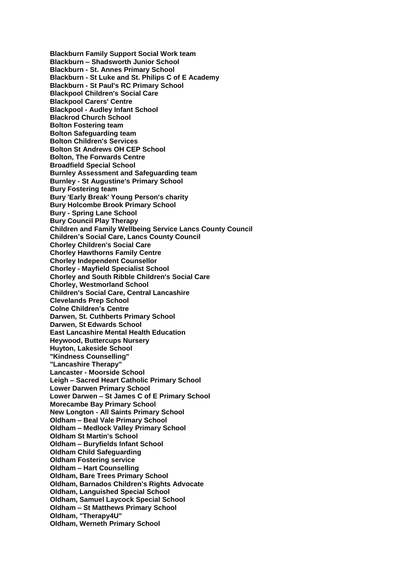**Blackburn Family Support Social Work team Blackburn – Shadsworth Junior School Blackburn - St. Annes Primary School Blackburn - St Luke and St. Philips C of E Academy Blackburn - St Paul's RC Primary School Blackpool Children's Social Care Blackpool Carers' Centre Blackpool - Audley Infant School Blackrod Church School Bolton Fostering team Bolton Safeguarding team Bolton Children's Services Bolton St Andrews OH CEP School Bolton, The Forwards Centre Broadfield Special School Burnley Assessment and Safeguarding team Burnley - St Augustine's Primary School Bury Fostering team Bury 'Early Break' Young Person's charity Bury Holcombe Brook Primary School Bury - Spring Lane School Bury Council Play Therapy Children and Family Wellbeing Service Lancs County Council Children's Social Care, Lancs County Council Chorley Children's Social Care Chorley Hawthorns Family Centre Chorley Independent Counsellor Chorley - Mayfield Specialist School Chorley and South Ribble Children's Social Care Chorley, Westmorland School Children's Social Care, Central Lancashire Clevelands Prep School Colne Children's Centre Darwen, St. Cuthberts Primary School Darwen, St Edwards School East Lancashire Mental Health Education Heywood, Buttercups Nursery Huyton, Lakeside School "Kindness Counselling" "Lancashire Therapy" Lancaster - Moorside School Leigh – Sacred Heart Catholic Primary School Lower Darwen Primary School Lower Darwen – St James C of E Primary School Morecambe Bay Primary School New Longton - All Saints Primary School Oldham – Beal Vale Primary School Oldham – Medlock Valley Primary School Oldham St Martin's School Oldham – Buryfields Infant School Oldham Child Safeguarding Oldham Fostering service Oldham – Hart Counselling Oldham, Bare Trees Primary School Oldham, Barnados Children's Rights Advocate Oldham, Languished Special School Oldham, Samuel Laycock Special School Oldham – St Matthews Primary School Oldham, "Therapy4U" Oldham, Werneth Primary School**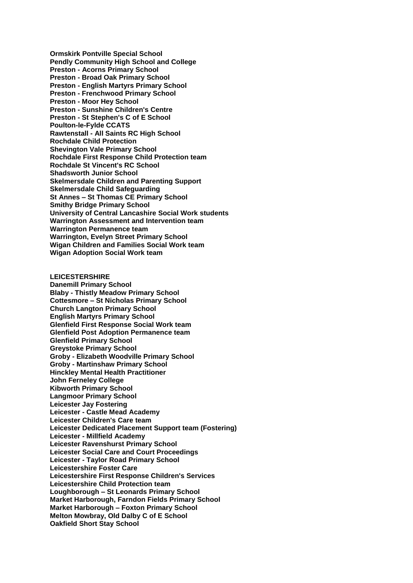**Ormskirk Pontville Special School Pendly Community High School and College Preston - Acorns Primary School Preston - Broad Oak Primary School Preston - English Martyrs Primary School Preston - Frenchwood Primary School Preston - Moor Hey School Preston - Sunshine Children's Centre Preston - St Stephen's C of E School Poulton-le-Fylde CCATS Rawtenstall - All Saints RC High School Rochdale Child Protection Shevington Vale Primary School Rochdale First Response Child Protection team Rochdale St Vincent's RC School Shadsworth Junior School Skelmersdale Children and Parenting Support Skelmersdale Child Safeguarding St Annes – St Thomas CE Primary School Smithy Bridge Primary School University of Central Lancashire Social Work students Warrington Assessment and Intervention team Warrington Permanence team Warrington, Evelyn Street Primary School Wigan Children and Families Social Work team Wigan Adoption Social Work team**

## **LEICESTERSHIRE**

**Danemill Primary School Blaby - Thistly Meadow Primary School Cottesmore – St Nicholas Primary School Church Langton Primary School English Martyrs Primary School Glenfield First Response Social Work team Glenfield Post Adoption Permanence team Glenfield Primary School Greystoke Primary School Groby - Elizabeth Woodville Primary School Groby - Martinshaw Primary School Hinckley Mental Health Practitioner John Ferneley College Kibworth Primary School Langmoor Primary School Leicester Jay Fostering Leicester - Castle Mead Academy Leicester Children's Care team Leicester Dedicated Placement Support team (Fostering) Leicester - Millfield Academy Leicester Ravenshurst Primary School Leicester Social Care and Court Proceedings Leicester - Taylor Road Primary School Leicestershire Foster Care Leicestershire First Response Children's Services Leicestershire Child Protection team Loughborough – St Leonards Primary School Market Harborough, Farndon Fields Primary School Market Harborough – Foxton Primary School Melton Mowbray, Old Dalby C of E School Oakfield Short Stay School**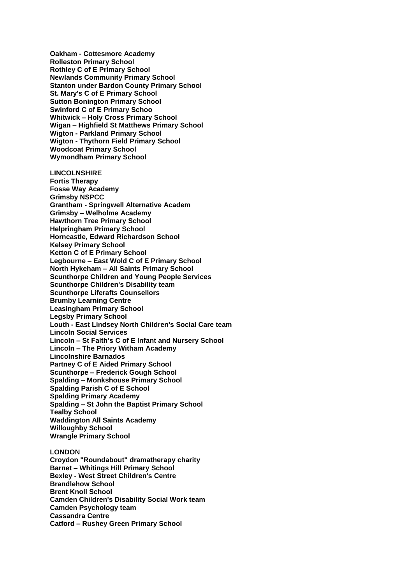**Oakham - Cottesmore Academy Rolleston Primary School Rothley C of E Primary School Newlands Community Primary School Stanton under Bardon County Primary School St. Mary's C of E Primary School Sutton Bonington Primary School Swinford C of E Primary Schoo Whitwick – Holy Cross Primary School Wigan – Highfield St Matthews Primary School Wigton - Parkland Primary School Wigton - Thythorn Field Primary School Woodcoat Primary School Wymondham Primary School LINCOLNSHIRE Fortis Therapy Fosse Way Academy Grimsby NSPCC Grantham - Springwell Alternative Academ Grimsby – Welholme Academy Hawthorn Tree Primary School Helpringham Primary School Horncastle, Edward Richardson School Kelsey Primary School Ketton C of E Primary School Legbourne – East Wold C of E Primary School North Hykeham – All Saints Primary School Scunthorpe Children and Young People Services Scunthorpe Children's Disability team Scunthorpe Liferafts Counsellors Brumby Learning Centre Leasingham Primary School Legsby Primary School Louth - East Lindsey North Children's Social Care team Lincoln Social Services Lincoln – St Faith's C of E Infant and Nursery School Lincoln – The Priory Witham Academy Lincolnshire Barnados Partney C of E Aided Primary School Scunthorpe – Frederick Gough School Spalding – Monkshouse Primary School Spalding Parish C of E School**

**Spalding Primary Academy**

**Spalding – St John the Baptist Primary School Tealby School**

**Waddington All Saints Academy**

**Willoughby School**

**Wrangle Primary School**

# **LONDON**

**Croydon "Roundabout" dramatherapy charity Barnet – Whitings Hill Primary School Bexley - West Street Children's Centre Brandlehow School Brent Knoll School Camden Children's Disability Social Work team Camden Psychology team Cassandra Centre Catford – Rushey Green Primary School**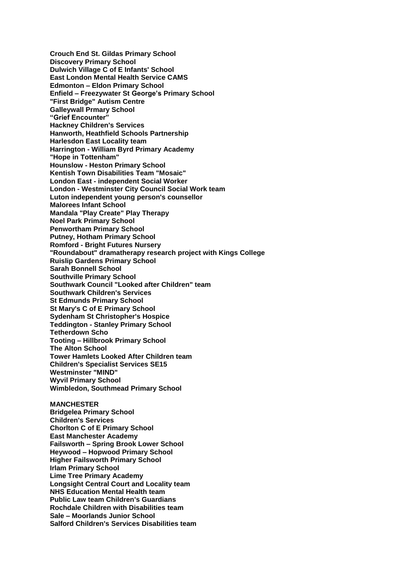**Crouch End St. Gildas Primary School Discovery Primary School Dulwich Village C of E Infants' School East London Mental Health Service CAMS Edmonton – Eldon Primary School Enfield – Freezywater St George's Primary School "First Bridge" Autism Centre Galleywall Prmary School "Grief Encounter" Hackney Children's Services Hanworth, Heathfield Schools Partnership Harlesdon East Locality team Harrington - William Byrd Primary Academy "Hope in Tottenham" Hounslow - Heston Primary School Kentish Town Disabilities Team "Mosaic" London East - independent Social Worker London - Westminster City Council Social Work team Luton independent young person's counsellor Malorees Infant School Mandala "Play Create" Play Therapy Noel Park Primary School Penwortham Primary School Putney, Hotham Primary School Romford - Bright Futures Nursery "Roundabout" dramatherapy research project with Kings College Ruislip Gardens Primary School Sarah Bonnell School Southville Primary School Southwark Council "Looked after Children" team Southwark Children's Services St Edmunds Primary School St Mary's C of E Primary School Sydenham St Christopher's Hospice Teddington - Stanley Primary School Tetherdown Scho Tooting – Hillbrook Primary School The Alton School Tower Hamlets Looked After Children team Children's Specialist Services SE15 Westminster "MIND" Wyvil Primary School Wimbledon, Southmead Primary School MANCHESTER Bridgelea Primary School Children's Services Chorlton C of E Primary School East Manchester Academy Failsworth – Spring Brook Lower School Heywood – Hopwood Primary School Higher Failsworth Primary School Irlam Primary School Lime Tree Primary Academy Longsight Central Court and Locality team NHS Education Mental Health team**

**Public Law team Children's Guardians Rochdale Children with Disabilities team**

**Sale – Moorlands Junior School**

**Salford Children's Services Disabilities team**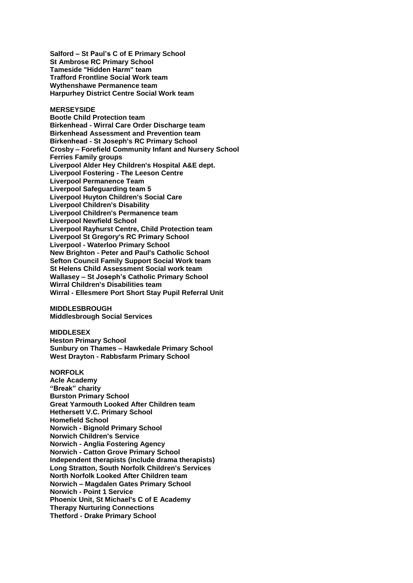**Salford – St Paul's C of E Primary School St Ambrose RC Primary School Tameside "Hidden Harm" team Trafford Frontline Social Work team Wythenshawe Permanence team Harpurhey District Centre Social Work team**

**MERSEYSIDE**

**Bootle Child Protection team Birkenhead - Wirral Care Order Discharge team Birkenhead Assessment and Prevention team Birkenhead - St Joseph's RC Primary School Crosby – Forefield Community Infant and Nursery School Ferries Family groups Liverpool Alder Hey Children's Hospital A&E dept. Liverpool Fostering - The Leeson Centre Liverpool Permanence Team Liverpool Safeguarding team 5 Liverpool Huyton Children's Social Care Liverpool Children's Disability Liverpool Children's Permanence team Liverpool Newfield School Liverpool Rayhurst Centre, Child Protection team Liverpool St Gregory's RC Primary School Liverpool - Waterloo Primary School New Brighton - Peter and Paul's Catholic School Sefton Council Family Support Social Work team St Helens Child Assessment Social work team Wallasey – St Joseph's Catholic Primary School Wirral Children's Disabilities team Wirral - Ellesmere Port Short Stay Pupil Referral Unit**

**MIDDLESBROUGH Middlesbrough Social Services**

**MIDDLESEX Heston Primary School Sunbury on Thames – Hawkedale Primary School West Drayton - Rabbsfarm Primary School**

**NORFOLK Acle Academy "Break" charity Burston Primary School Great Yarmouth Looked After Children team Hethersett V.C. Primary School Homefield School Norwich - Bignold Primary School Norwich Children's Service Norwich - Anglia Fostering Agency Norwich - Catton Grove Primary School Independent therapists (include drama therapists) Long Stratton, South Norfolk Children's Services North Norfolk Looked After Children team Norwich – Magdalen Gates Primary School Norwich - Point 1 Service Phoenix Unit, St Michael's C of E Academy Therapy Nurturing Connections Thetford - Drake Primary School**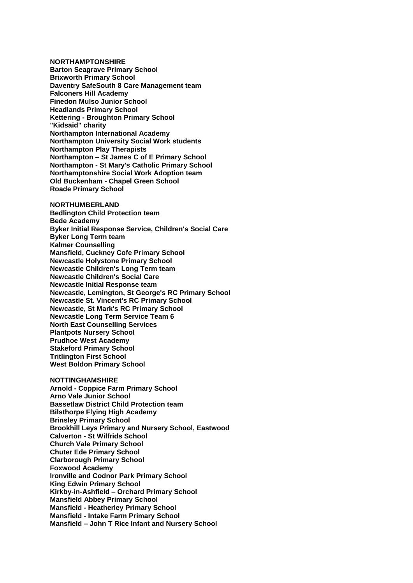**NORTHAMPTONSHIRE Barton Seagrave Primary School Brixworth Primary School Daventry SafeSouth 8 Care Management team Falconers Hill Academy Finedon Mulso Junior School Headlands Primary School Kettering - Broughton Primary School "Kidsaid" charity Northampton International Academy Northampton University Social Work students Northampton Play Therapists Northampton – St James C of E Primary School Northampton - St Mary's Catholic Primary School Northamptonshire Social Work Adoption team Old Buckenham - Chapel Green School Roade Primary School**

**NORTHUMBERLAND Bedlington Child Protection team Bede Academy Byker Initial Response Service, Children's Social Care Byker Long Term team Kalmer Counselling Mansfield, Cuckney Cofe Primary School Newcastle Holystone Primary School Newcastle Children's Long Term team Newcastle Children's Social Care Newcastle Initial Response team Newcastle, Lemington, St George's RC Primary School Newcastle St. Vincent's RC Primary School Newcastle, St Mark's RC Primary School Newcastle Long Term Service Team 6 North East Counselling Services Plantpots Nursery School Prudhoe West Academy Stakeford Primary School Tritlington First School West Boldon Primary School**

**NOTTINGHAMSHIRE**

**Arnold - Coppice Farm Primary School Arno Vale Junior School Bassetlaw District Child Protection team Bilsthorpe Flying High Academy Brinsley Primary School Brookhill Leys Primary and Nursery School, Eastwood Calverton - St Wilfrids School Church Vale Primary School Chuter Ede Primary School Clarborough Primary School Foxwood Academy Ironville and Codnor Park Primary School King Edwin Primary School Kirkby-in-Ashfield – Orchard Primary School Mansfield Abbey Primary School Mansfield - Heatherley Primary School Mansfield - Intake Farm Primary School Mansfield – John T Rice Infant and Nursery School**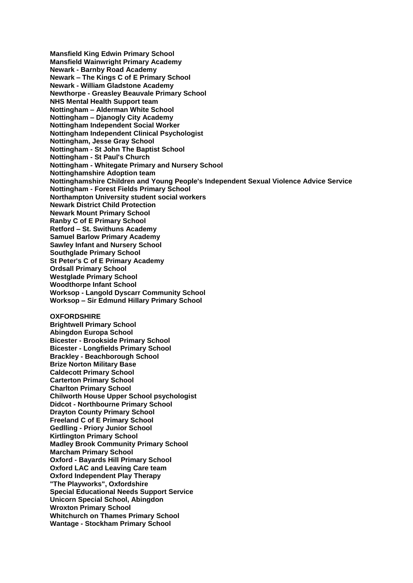**Mansfield King Edwin Primary School Mansfield Wainwright Primary Academy Newark - Barnby Road Academy Newark – The Kings C of E Primary School Newark - William Gladstone Academy Newthorpe - Greasley Beauvale Primary School NHS Mental Health Support team Nottingham – Alderman White School Nottingham – Djanogly City Academy Nottingham Independent Social Worker Nottingham Independent Clinical Psychologist Nottingham, Jesse Gray School Nottingham - St John The Baptist School Nottingham - St Paul's Church Nottingham - Whitegate Primary and Nursery School Nottinghamshire Adoption team Nottinghamshire Children and Young People's Independent Sexual Violence Advice Service Nottingham - Forest Fields Primary School Northampton University student social workers Newark District Child Protection Newark Mount Primary School Ranby C of E Primary School Retford – St. Swithuns Academy Samuel Barlow Primary Academy Sawley Infant and Nursery School Southglade Primary School St Peter's C of E Primary Academy Ordsall Primary School Westglade Primary School Woodthorpe Infant School Worksop - Langold Dyscarr Community School Worksop – Sir Edmund Hillary Primary School OXFORDSHIRE Brightwell Primary School Abingdon Europa School Bicester - Brookside Primary School Bicester - Longfields Primary School Brackley - Beachborough School Brize Norton Military Base Caldecott Primary School Carterton Primary School Charlton Primary School Chilworth House Upper School psychologist Didcot - Northbourne Primary School Drayton County Primary School Freeland C of E Primary School Gedlling - Priory Junior School Kirtlington Primary School Madley Brook Community Primary School Marcham Primary School Oxford - Bayards Hill Primary School Oxford LAC and Leaving Care team Oxford Independent Play Therapy "The Playworks", Oxfordshire Special Educational Needs Support Service Unicorn Special School, Abingdon Wroxton Primary School Whitchurch on Thames Primary School Wantage - Stockham Primary School**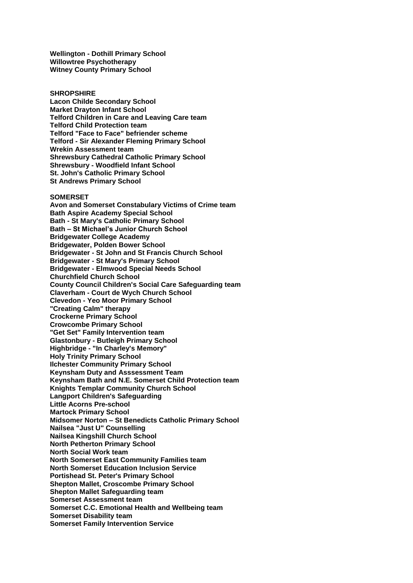**Wellington - Dothill Primary School Willowtree Psychotherapy Witney County Primary School**

#### **SHROPSHIRE**

**Lacon Childe Secondary School Market Drayton Infant School Telford Children in Care and Leaving Care team Telford Child Protection team Telford "Face to Face" befriender scheme Telford - Sir Alexander Fleming Primary School Wrekin Assessment team Shrewsbury Cathedral Catholic Primary School Shrewsbury - Woodfield Infant School St. John's Catholic Primary School St Andrews Primary School**

#### **SOMERSET**

**Avon and Somerset Constabulary Victims of Crime team Bath Aspire Academy Special School Bath - St Mary's Catholic Primary School Bath – St Michael's Junior Church School Bridgewater College Academy Bridgewater, Polden Bower School Bridgewater - St John and St Francis Church School Bridgewater - St Mary's Primary School Bridgewater - Elmwood Special Needs School Churchfield Church School County Council Children's Social Care Safeguarding team Claverham - Court de Wych Church School Clevedon - Yeo Moor Primary School "Creating Calm" therapy Crockerne Primary School Crowcombe Primary School "Get Set" Family Intervention team Glastonbury - Butleigh Primary School Highbridge - "In Charley's Memory" Holy Trinity Primary School Ilchester Community Primary School Keynsham Duty and Asssessment Team Keynsham Bath and N.E. Somerset Child Protection team Knights Templar Community Church School Langport Children's Safeguarding Little Acorns Pre-school Martock Primary School Midsomer Norton – St Benedicts Catholic Primary School Nailsea "Just U" Counselling Nailsea Kingshill Church School North Petherton Primary School North Social Work team North Somerset East Community Families team North Somerset Education Inclusion Service Portishead St. Peter's Primary School Shepton Mallet, Croscombe Primary School Shepton Mallet Safeguarding team Somerset Assessment team Somerset C.C. Emotional Health and Wellbeing team Somerset Disability team Somerset Family Intervention Service**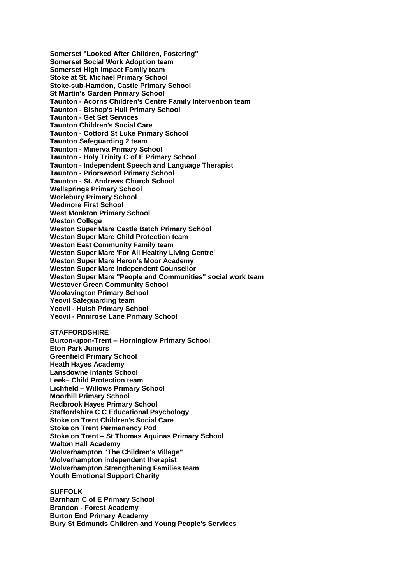**Somerset "Looked After Children, Fostering" Somerset Social Work Adoption team Somerset High Impact Family team Stoke at St. Michael Primary School Stoke-sub-Hamdon, Castle Primary School St Martin's Garden Primary School Taunton - Acorns Children's Centre Family Intervention team Taunton - Bishop's Hull Primary School Taunton - Get Set Services Taunton Children's Social Care Taunton - Cotford St Luke Primary School Taunton Safeguarding 2 team Taunton - Minerva Primary School Taunton - Holy Trinity C of E Primary School Taunton - Independent Speech and Language Therapist Taunton - Priorswood Primary School Taunton - St. Andrews Church School Wellsprings Primary School Worlebury Primary School Wedmore First School West Monkton Primary School Weston College Weston Super Mare Castle Batch Primary School Weston Super Mare Child Protection team Weston East Community Family team Weston Super Mare 'For All Healthy Living Centre' Weston Super Mare Heron's Moor Academy Weston Super Mare Independent Counsellor Weston Super Mare "People and Communities" social work team Westover Green Community School Woolavington Primary School Yeovil Safeguarding team Yeovil - Huish Primary School Yeovil - Primrose Lane Primary School**

## **STAFFORDSHIRE**

**Burton-upon-Trent – Horninglow Primary School Eton Park Juniors Greenfield Primary School Heath Hayes Academy Lansdowne Infants School Leek– Child Protection team Lichfield – Willows Primary School Moorhill Primary School Redbrook Hayes Primary School Staffordshire C C Educational Psychology Stoke on Trent Children's Social Care Stoke on Trent Permanency Pod Stoke on Trent – St Thomas Aquinas Primary School Walton Hall Academy Wolverhampton "The Children's Village" Wolverhampton independent therapist Wolverhampton Strengthening Families team Youth Emotional Support Charity**

# **SUFFOLK**

**Barnham C of E Primary School Brandon - Forest Academy Burton End Primary Academy Bury St Edmunds Children and Young People's Services**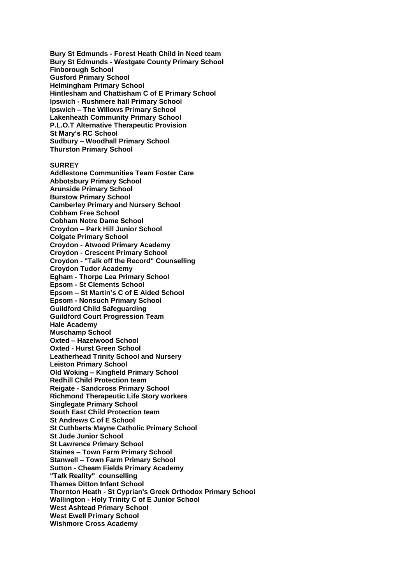**Bury St Edmunds - Forest Heath Child in Need team Bury St Edmunds - Westgate County Primary School Finborough School Gusford Primary School Helmingham Primary School Hintlesham and Chattisham C of E Primary School Ipswich - Rushmere hall Primary School Ipswich – The Willows Primary School Lakenheath Community Primary School P.L.O.T Alternative Therapeutic Provision St Mary's RC School Sudbury – Woodhall Primary School Thurston Primary School**

**SURREY Addlestone Communities Team Foster Care Abbotsbury Primary School Arunside Primary School Burstow Primary School Camberley Primary and Nursery School Cobham Free School Cobham Notre Dame School Croydon – Park Hill Junior School Colgate Primary School Croydon - Atwood Primary Academy Croydon - Crescent Primary School Croydon - "Talk off the Record" Counselling Croydon Tudor Academy Egham - Thorpe Lea Primary School Epsom - St Clements School Epsom – St Martin's C of E Aided School Epsom - Nonsuch Primary School Guildford Child Safeguarding Guildford Court Progression Team Hale Academy Muschamp School Oxted – Hazelwood School Oxted - Hurst Green School Leatherhead Trinity School and Nursery Leiston Primary School Old Woking – Kingfield Primary School Redhill Child Protection team Reigate - Sandcross Primary School Richmond Therapeutic Life Story workers Singlegate Primary School South East Child Protection team St Andrews C of E School St Cuthberts Mayne Catholic Primary School St Jude Junior School St Lawrence Primary School Staines – Town Farm Primary School Stanwell – Town Farm Primary School Sutton - Cheam Fields Primary Academy "Talk Reality" counselling Thames Ditton Infant School Thornton Heath - St Cyprian's Greek Orthodox Primary School Wallington - Holy Trinity C of E Junior School West Ashtead Primary School West Ewell Primary School Wishmore Cross Academy**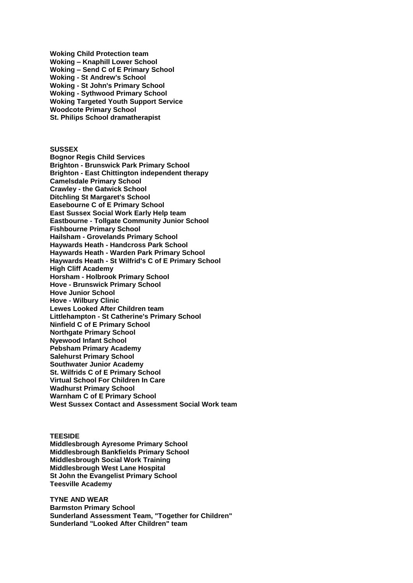**Woking Child Protection team Woking – Knaphill Lower School Woking – Send C of E Primary School Woking - St Andrew's School Woking - St John's Primary School Woking - Sythwood Primary School Woking Targeted Youth Support Service Woodcote Primary School St. Philips School dramatherapist**

**SUSSEX**

**Bognor Regis Child Services Brighton - Brunswick Park Primary School Brighton - East Chittington independent therapy Camelsdale Primary School Crawley - the Gatwick School Ditchling St Margaret's School Easebourne C of E Primary School East Sussex Social Work Early Help team Eastbourne - Tollgate Community Junior School Fishbourne Primary School Hailsham - Grovelands Primary School Haywards Heath - Handcross Park School Haywards Heath - Warden Park Primary School Haywards Heath - St Wilfrid's C of E Primary School High Cliff Academy Horsham - Holbrook Primary School Hove - Brunswick Primary School Hove Junior School Hove - Wilbury Clinic Lewes Looked After Children team Littlehampton - St Catherine's Primary School Ninfield C of E Primary School Northgate Primary School Nyewood Infant School Pebsham Primary Academy Salehurst Primary School Southwater Junior Academy St. Wilfrids C of E Primary School Virtual School For Children In Care Wadhurst Primary School Warnham C of E Primary School West Sussex Contact and Assessment Social Work team**

**TEESIDE**

**Middlesbrough Ayresome Primary School Middlesbrough Bankfields Primary School Middlesbrough Social Work Training Middlesbrough West Lane Hospital St John the Evangelist Primary School Teesville Academy**

**TYNE AND WEAR Barmston Primary School Sunderland Assessment Team, "Together for Children" Sunderland "Looked After Children" team**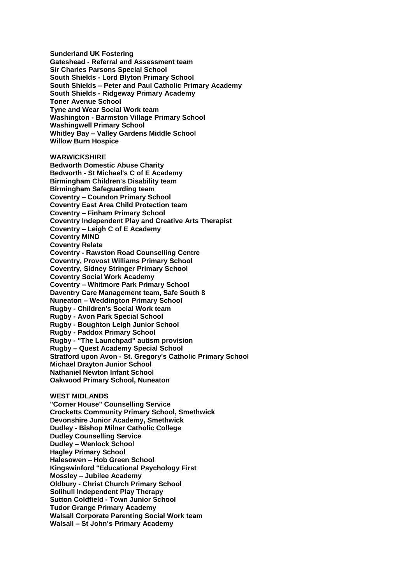**Sunderland UK Fostering Gateshead - Referral and Assessment team Sir Charles Parsons Special School South Shields - Lord Blyton Primary School South Shields – Peter and Paul Catholic Primary Academy South Shields - Ridgeway Primary Academy Toner Avenue School Tyne and Wear Social Work team Washington - Barmston Village Primary School Washingwell Primary School Whitley Bay – Valley Gardens Middle School Willow Burn Hospice**

**WARWICKSHIRE**

**Bedworth Domestic Abuse Charity Bedworth - St Michael's C of E Academy Birmingham Children's Disability team Birmingham Safeguarding team Coventry – Coundon Primary School Coventry East Area Child Protection team Coventry – Finham Primary School Coventry Independent Play and Creative Arts Therapist Coventry – Leigh C of E Academy Coventry MIND Coventry Relate Coventry - Rawston Road Counselling Centre Coventry, Provost Williams Primary School Coventry, Sidney Stringer Primary School Coventry Social Work Academy Coventry – Whitmore Park Primary School Daventry Care Management team, Safe South 8 Nuneaton – Weddington Primary School Rugby - Children's Social Work team Rugby - Avon Park Special School Rugby - Boughton Leigh Junior School Rugby - Paddox Primary School Rugby - "The Launchpad" autism provision Rugby – Quest Academy Special School Stratford upon Avon - St. Gregory's Catholic Primary School Michael Drayton Junior School Nathaniel Newton Infant School Oakwood Primary School, Nuneaton**

**WEST MIDLANDS**

**"Corner House" Counselling Service Crocketts Community Primary School, Smethwick Devonshire Junior Academy, Smethwick Dudley - Bishop Milner Catholic College Dudley Counselling Service Dudley – Wenlock School Hagley Primary School Halesowen – Hob Green School Kingswinford "Educational Psychology First Mossley – Jubilee Academy Oldbury - Christ Church Primary School Solihull Independent Play Therapy Sutton Coldfield - Town Junior School Tudor Grange Primary Academy Walsall Corporate Parenting Social Work team Walsall – St John's Primary Academy**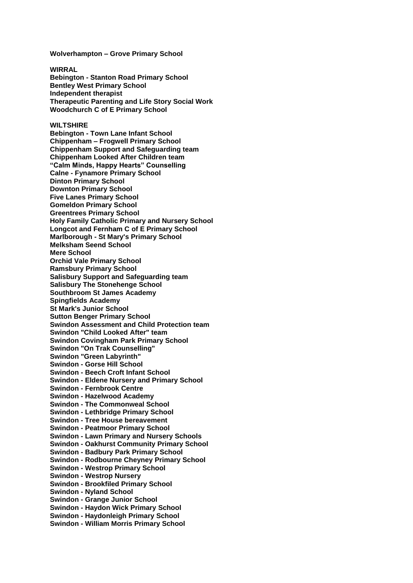**Wolverhampton – Grove Primary School**

**WIRRAL Bebington - Stanton Road Primary School Bentley West Primary School Independent therapist Therapeutic Parenting and Life Story Social Work Woodchurch C of E Primary School**

## **WILTSHIRE**

**Bebington - Town Lane Infant School Chippenham – Frogwell Primary School Chippenham Support and Safeguarding team Chippenham Looked After Children team "Calm Minds, Happy Hearts" Counselling Calne - Fynamore Primary School Dinton Primary School Downton Primary School Five Lanes Primary School Gomeldon Primary School Greentrees Primary School Holy Family Catholic Primary and Nursery School Longcot and Fernham C of E Primary School Marlborough - St Mary's Primary School Melksham Seend School Mere School Orchid Vale Primary School Ramsbury Primary School Salisbury Support and Safeguarding team Salisbury The Stonehenge School Southbroom St James Academy Spingfields Academy St Mark's Junior School Sutton Benger Primary School Swindon Assessment and Child Protection team Swindon "Child Looked After" team Swindon Covingham Park Primary School Swindon "On Trak Counselling" Swindon "Green Labyrinth" Swindon - Gorse Hill School Swindon - Beech Croft Infant School Swindon - Eldene Nursery and Primary School Swindon - Fernbrook Centre Swindon - Hazelwood Academy Swindon - The Commonweal School Swindon - Lethbridge Primary School Swindon - Tree House bereavement Swindon - Peatmoor Primary School Swindon - Lawn Primary and Nursery Schools Swindon - Oakhurst Community Primary School Swindon - Badbury Park Primary School Swindon - Rodbourne Cheyney Primary School Swindon - Westrop Primary School Swindon - Westrop Nursery Swindon - Brookfiled Primary School Swindon - Nyland School Swindon - Grange Junior School Swindon - Haydon Wick Primary School Swindon - Haydonleigh Primary School Swindon - William Morris Primary School**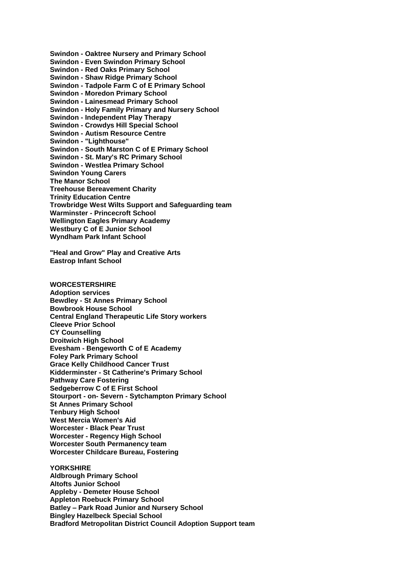**Swindon - Oaktree Nursery and Primary School Swindon - Even Swindon Primary School Swindon - Red Oaks Primary School Swindon - Shaw Ridge Primary School Swindon - Tadpole Farm C of E Primary School Swindon - Moredon Primary School Swindon - Lainesmead Primary School Swindon - Holy Family Primary and Nursery School Swindon - Independent Play Therapy Swindon - Crowdys Hill Special School Swindon - Autism Resource Centre Swindon - "Lighthouse" Swindon - South Marston C of E Primary School Swindon - St. Mary's RC Primary School Swindon - Westlea Primary School Swindon Young Carers The Manor School Treehouse Bereavement Charity Trinity Education Centre Trowbridge West Wilts Support and Safeguarding team Warminster - Princecroft School Wellington Eagles Primary Academy Westbury C of E Junior School Wyndham Park Infant School "Heal and Grow" Play and Creative Arts Eastrop Infant School WORCESTERSHIRE Adoption services Bewdley - St Annes Primary School Bowbrook House School Central England Therapeutic Life Story workers Cleeve Prior School CY Counselling**

**Droitwich High School Evesham - Bengeworth C of E Academy Foley Park Primary School Grace Kelly Childhood Cancer Trust Kidderminster - St Catherine's Primary School Pathway Care Fostering Sedgeberrow C of E First School Stourport - on- Severn - Sytchampton Primary School St Annes Primary School Tenbury High School West Mercia Women's Aid Worcester - Black Pear Trust Worcester - Regency High School Worcester South Permanency team Worcester Childcare Bureau, Fostering**

**YORKSHIRE Aldbrough Primary School Altofts Junior School Appleby - Demeter House School Appleton Roebuck Primary School Batley – Park Road Junior and Nursery School Bingley Hazelbeck Special School Bradford Metropolitan District Council Adoption Support team**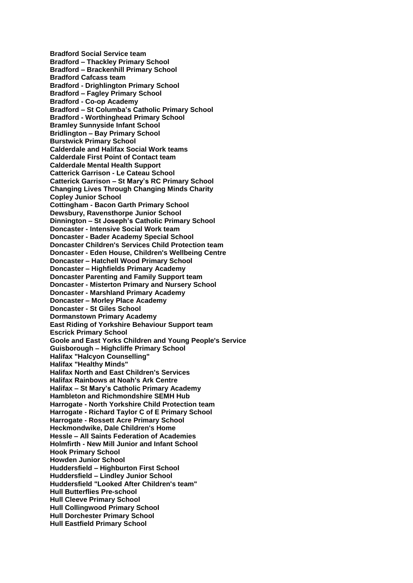**Bradford Social Service team Bradford – Thackley Primary School Bradford – Brackenhill Primary School Bradford Cafcass team Bradford - Drighlington Primary School Bradford – Fagley Primary School Bradford - Co-op Academy Bradford – St Columba's Catholic Primary School Bradford - Worthinghead Primary School Bramley Sunnyside Infant School Bridlington – Bay Primary School Burstwick Primary School Calderdale and Halifax Social Work teams Calderdale First Point of Contact team Calderdale Mental Health Support Catterick Garrison - Le Cateau School Catterick Garrison – St Mary's RC Primary School Changing Lives Through Changing Minds Charity Copley Junior School Cottingham - Bacon Garth Primary School Dewsbury, Ravensthorpe Junior School Dinnington – St Joseph's Catholic Primary School Doncaster - Intensive Social Work team Doncaster - Bader Academy Special School Doncaster Children's Services Child Protection team Doncaster - Eden House, Children's Wellbeing Centre Doncaster – Hatchell Wood Primary School Doncaster – Highfields Primary Academy Doncaster Parenting and Family Support team Doncaster - Misterton Primary and Nursery School Doncaster - Marshland Primary Academy Doncaster – Morley Place Academy Doncaster - St Giles School Dormanstown Primary Academy East Riding of Yorkshire Behaviour Support team Escrick Primary School Goole and East Yorks Children and Young People's Service Guisborough – Highcliffe Primary School Halifax "Halcyon Counselling" Halifax "Healthy Minds" Halifax North and East Children's Services Halifax Rainbows at Noah's Ark Centre Halifax – St Mary's Catholic Primary Academy Hambleton and Richmondshire SEMH Hub Harrogate - North Yorkshire Child Protection team Harrogate - Richard Taylor C of E Primary School Harrogate - Rossett Acre Primary School Heckmondwike, Dale Children's Home Hessle – All Saints Federation of Academies Holmfirth - New Mill Junior and Infant School Hook Primary School Howden Junior School Huddersfield – Highburton First School Huddersfield – Lindley Junior School Huddersfield "Looked After Children's team" Hull Butterflies Pre-school Hull Cleeve Primary School Hull Collingwood Primary School Hull Dorchester Primary School Hull Eastfield Primary School**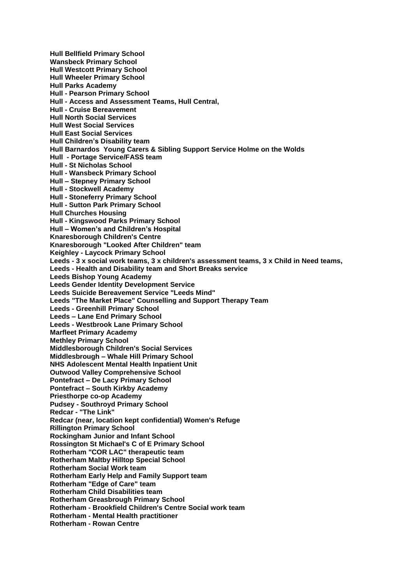**Hull Bellfield Primary School Wansbeck Primary School Hull Westcott Primary School Hull Wheeler Primary School Hull Parks Academy Hull - Pearson Primary School Hull - Access and Assessment Teams, Hull Central, Hull - Cruise Bereavement Hull North Social Services Hull West Social Services Hull East Social Services Hull Children's Disability team Hull Barnardos Young Carers & Sibling Support Service Holme on the Wolds Hull - Portage Service/FASS team Hull - St Nicholas School Hull - Wansbeck Primary School Hull – Stepney Primary School Hull - Stockwell Academy Hull - Stoneferry Primary School Hull - Sutton Park Primary School Hull Churches Housing Hull - Kingswood Parks Primary School Hull – Women's and Children's Hospital Knaresborough Children's Centre Knaresborough "Looked After Children" team Keighley - Laycock Primary School Leeds - 3 x social work teams, 3 x children's assessment teams, 3 x Child in Need teams, Leeds - Health and Disability team and Short Breaks service Leeds Bishop Young Academy Leeds Gender Identity Development Service Leeds Suicide Bereavement Service "Leeds Mind" Leeds "The Market Place" Counselling and Support Therapy Team Leeds - Greenhill Primary School Leeds – Lane End Primary School Leeds - Westbrook Lane Primary School Marfleet Primary Academy Methley Primary School Middlesborough Children's Social Services Middlesbrough – Whale Hill Primary School NHS Adolescent Mental Health Inpatient Unit Outwood Valley Comprehensive School Pontefract – De Lacy Primary School Pontefract – South Kirkby Academy Priesthorpe co-op Academy Pudsey - Southroyd Primary School Redcar - "The Link" Redcar (near, location kept confidential) Women's Refuge Rillington Primary School Rockingham Junior and Infant School Rossington St Michael's C of E Primary School Rotherham "COR LAC" therapeutic team Rotherham Maltby Hilltop Special School Rotherham Social Work team Rotherham Early Help and Family Support team Rotherham "Edge of Care" team Rotherham Child Disabilities team Rotherham Greasbrough Primary School Rotherham - Brookfield Children's Centre Social work team Rotherham - Mental Health practitioner Rotherham - Rowan Centre**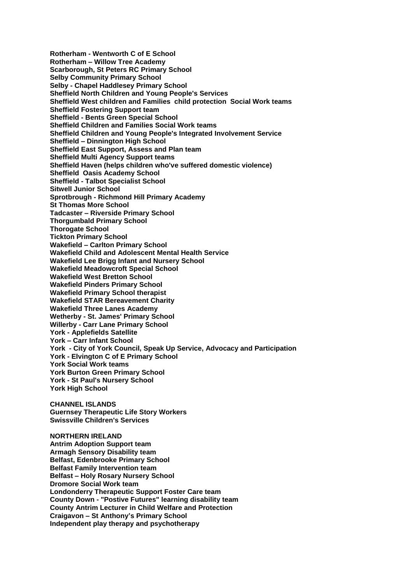**Rotherham - Wentworth C of E School Rotherham – Willow Tree Academy Scarborough, St Peters RC Primary School Selby Community Primary School Selby - Chapel Haddlesey Primary School Sheffield North Children and Young People's Services Sheffield West children and Families child protection Social Work teams Sheffield Fostering Support team Sheffield - Bents Green Special School Sheffield Children and Families Social Work teams Sheffield Children and Young People's Integrated Involvement Service Sheffield – Dinnington High School Sheffield East Support, Assess and Plan team Sheffield Multi Agency Support teams Sheffield Haven (helps children who've suffered domestic violence) Sheffield Oasis Academy School Sheffield - Talbot Specialist School Sitwell Junior School Sprotbrough - Richmond Hill Primary Academy St Thomas More School Tadcaster – Riverside Primary School Thorgumbald Primary School Thorogate School Tickton Primary School Wakefield – Carlton Primary School Wakefield Child and Adolescent Mental Health Service Wakefield Lee Brigg Infant and Nursery School Wakefield Meadowcroft Special School Wakefield West Bretton School Wakefield Pinders Primary School Wakefield Primary School therapist Wakefield STAR Bereavement Charity Wakefield Three Lanes Academy Wetherby - St. James' Primary School Willerby - Carr Lane Primary School York - Applefields Satellite York – Carr Infant School York - City of York Council, Speak Up Service, Advocacy and Participation York - Elvington C of E Primary School York Social Work teams York Burton Green Primary School York - St Paul's Nursery School York High School CHANNEL ISLANDS Guernsey Therapeutic Life Story Workers Swissville Children's Services NORTHERN IRELAND Antrim Adoption Support team Armagh Sensory Disability team Belfast, Edenbrooke Primary School Belfast Family Intervention team Belfast – Holy Rosary Nursery School Dromore Social Work team Londonderry Therapeutic Support Foster Care team**

**County Down - "Postive Futures" learning disability team County Antrim Lecturer in Child Welfare and Protection**

**Craigavon – St Anthony's Primary School Independent play therapy and psychotherapy**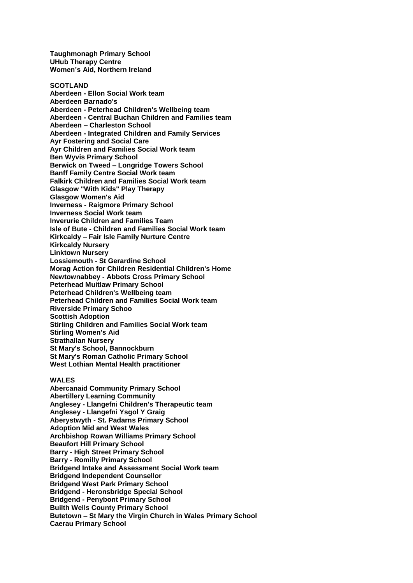**Taughmonagh Primary School UHub Therapy Centre Women's Aid, Northern Ireland**

**SCOTLAND Aberdeen - Ellon Social Work team Aberdeen Barnado's Aberdeen - Peterhead Children's Wellbeing team Aberdeen - Central Buchan Children and Families team Aberdeen – Charleston School Aberdeen - Integrated Children and Family Services Ayr Fostering and Social Care Ayr Children and Families Social Work team Ben Wyvis Primary School Berwick on Tweed – Longridge Towers School Banff Family Centre Social Work team Falkirk Children and Families Social Work team Glasgow "With Kids" Play Therapy Glasgow Women's Aid Inverness - Raigmore Primary School Inverness Social Work team Inverurie Children and Families Team Isle of Bute - Children and Families Social Work team Kirkcaldy – Fair Isle Family Nurture Centre Kirkcaldy Nursery Linktown Nursery Lossiemouth - St Gerardine School Morag Action for Children Residential Children's Home Newtownabbey - Abbots Cross Primary School Peterhead Muitlaw Primary School Peterhead Children's Wellbeing team Peterhead Children and Families Social Work team Riverside Primary Schoo Scottish Adoption Stirling Children and Families Social Work team Stirling Women's Aid Strathallan Nursery St Mary's School, Bannockburn St Mary's Roman Catholic Primary School West Lothian Mental Health practitioner**

## **WALES**

**Abercanaid Community Primary School Abertillery Learning Community Anglesey - Llangefni Children's Therapeutic team Anglesey - Llangefni Ysgol Y Graig Aberystwyth - St. Padarns Primary School Adoption Mid and West Wales Archbishop Rowan Williams Primary School Beaufort Hill Primary School Barry - High Street Primary School Barry - Romilly Primary School Bridgend Intake and Assessment Social Work team Bridgend Independent Counsellor Bridgend West Park Primary School Bridgend - Heronsbridge Special School Bridgend - Penybont Primary School Builth Wells County Primary School Butetown – St Mary the Virgin Church in Wales Primary School Caerau Primary School**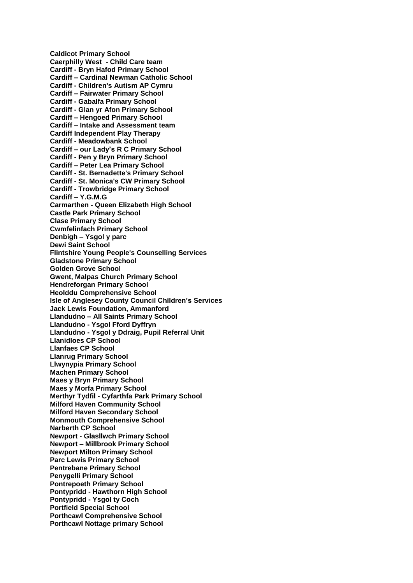**Caldicot Primary School Caerphilly West - Child Care team Cardiff - Bryn Hafod Primary School Cardiff – Cardinal Newman Catholic School Cardiff - Children's Autism AP Cymru Cardiff – Fairwater Primary School Cardiff - Gabalfa Primary School Cardiff - Glan yr Afon Primary School Cardiff – Hengoed Primary School Cardiff – Intake and Assessment team Cardiff Independent Play Therapy Cardiff - Meadowbank School Cardiff – our Lady's R C Primary School Cardiff - Pen y Bryn Primary School Cardiff – Peter Lea Primary School Cardiff - St. Bernadette's Primary School Cardiff - St. Monica's CW Primary School Cardiff - Trowbridge Primary School Cardiff – Y.G.M.G Carmarthen - Queen Elizabeth High School Castle Park Primary School Clase Primary School Cwmfelinfach Primary School Denbigh – Ysgol y parc Dewi Saint School Flintshire Young People's Counselling Services Gladstone Primary School Golden Grove School Gwent, Malpas Church Primary School Hendreforgan Primary School Heolddu Comprehensive School Isle of Anglesey County Council Children's Services Jack Lewis Foundation, Ammanford Llandudno – All Saints Primary School Llandudno - Ysgol Fford Dyffryn Llandudno - Ysgol y Ddraig, Pupil Referral Unit Llanidloes CP School Llanfaes CP School Llanrug Primary School Llwynypia Primary School Machen Primary School Maes y Bryn Primary School Maes y Morfa Primary School Merthyr Tydfil - Cyfarthfa Park Primary School Milford Haven Community School Milford Haven Secondary School Monmouth Comprehensive School Narberth CP School Newport - Glasllwch Primary School Newport – Millbrook Primary School Newport Milton Primary School Parc Lewis Primary School Pentrebane Primary School Penygelli Primary School Pontrepoeth Primary School Pontypridd - Hawthorn High School Pontypridd - Ysgol ty Coch Portfield Special School Porthcawl Comprehensive School Porthcawl Nottage primary School**